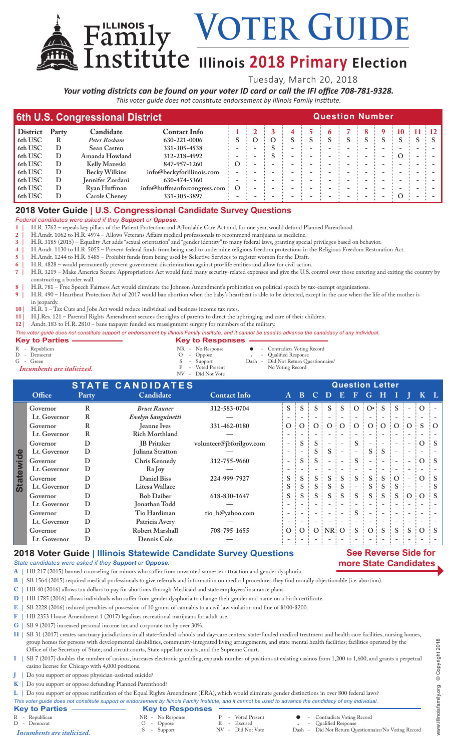**Voter Guide**

# $\text{I}\left(\text{I}\right)$  **Illinois** 2018 Primary Election

Tuesday, March 20, 2018

*Your voting districts can be found on your voter ID card or call the IFI office 708-781-9328. This voter guide does not constitute endorsement by Illinois Family Institute.*

| 6th U.S. Congressional District |       | <b>Question Number</b> |                               |          |   |  |  |  |  |   |   |   |           |  |           |
|---------------------------------|-------|------------------------|-------------------------------|----------|---|--|--|--|--|---|---|---|-----------|--|-----------|
| <b>District</b>                 | Party | Candidate              | <b>Contact Info</b>           |          |   |  |  |  |  |   | 8 | 9 | 10        |  | $\div$ 12 |
| 6th USC                         |       | Peter Roskam           | 630-221-0006                  |          | O |  |  |  |  | S |   |   |           |  |           |
| 6th USC                         | D     | <b>Sean Casten</b>     | 331-305-4538                  |          |   |  |  |  |  |   |   |   |           |  |           |
| 6th USC                         | D     | Amanda Howland         | 312-218-4992                  |          |   |  |  |  |  |   |   |   | $\Omega$  |  |           |
| 6th USC                         | D     | Kelly Mazeski          | 847-957-1260                  | Ο        |   |  |  |  |  |   |   |   |           |  |           |
| 6th USC                         | D     | <b>Becky Wilkins</b>   | info@beckyforillinois.com     |          |   |  |  |  |  |   |   |   |           |  |           |
| 6th USC                         | D     | Jennifer Zordani       | 630-474-5360                  |          |   |  |  |  |  |   |   |   |           |  |           |
| 6th USC                         | D     | Ryan Huffman           | info@huffmanforcongress.com : | $\Omega$ |   |  |  |  |  |   |   |   |           |  |           |
| 6th USC                         |       | Carole Cheney          | 331-305-3897                  |          |   |  |  |  |  |   |   |   | $\lambda$ |  |           |

## **2018 Voter Guide | U.S. Congressional Candidate Survey Questions**

Family

*Federal candidates were asked if they Support or Oppose:*

**1 |** H.R. 3762 – repeals key pillars of the Patient Protection and Affordable Care Act and, for one year, would defund Planned Parenthood.

**2 |** H.Amdt. 1062 to H.R. 4974 – Allows Veterans Affairs medical professionals to recommend marijuana as medicine.

**3 |** H.R. 3185 (2015) – Equality Act adds "sexual orientation" and "gender identity" to many federal laws, granting special privileges based on behavior.

**4 |** H.Amdt. 1130 to H.R. 5055 – Prevent federal funds from being used to undermine religious freedom protections in the Religious Freedom Restoration Act.

**5 |** H.Amdt. 1244 to H.R. 5485 – Prohibit funds from being used by Selective Services to register women for the Draft.

**6 |** H.R. 4828 – would permanently prevent government discrimination against pro-life entities and allow for civil action. **7 |** H.R. 3219 – Make America Secure Appropriations Act would fund many security-related expenses and give the U.S. control over those entering and exiting the country by constructing a border wall.

**8 |** H.R. 781 – Free Speech Fairness Act would eliminate the Johnson Amendment's prohibition on political speech by tax-exempt organizations.

**9 |** H.R. 490 – Heartbeat Protection Act of 2017 would ban abortion when the baby's heartbeat is able to be detected, except in the case when the life of the mother is

in jeopardy.

**10 |** H.R. 1 – Tax Cuts and Jobs Act would reduce individual and business income tax rates.

**11 |** H.J.Res. 121 – Parental Rights Amendment secures the rights of parents to direct the upbringing and care of their children.

**12 |** Amdt. 183 to H.R. 2810 – bans taxpayer funded sex reassignment surgery for members of the military.

*This voter guide does not constitute support or endorsement by Illinois Family Institute, and it cannot be used to advance the candidacy of any individual.*

| <b>Key to Parties -</b>                                                     | <b>Key to Responses</b>                                                                   |                                                                                                                 |
|-----------------------------------------------------------------------------|-------------------------------------------------------------------------------------------|-----------------------------------------------------------------------------------------------------------------|
| R - Republican<br>D - Democrat<br>$G - Green$<br>Incumbents are italicized. | NR - No Response<br>$O - Oppose$<br>S - Support<br>P - Voted Present<br>NV - Did Not Vote | • Contradicts Voting Record<br>- Qualified Response<br>Dash - Did Not Return Questionnaire/<br>No Voting Record |

**STATE CANDIDATES**<br> **Party** Candidate **Contact Info** A B C D E F G H I **Office Party Candidate Contact Info A B C D E F G H I J K L Governor R** *Bruce Rauner* **312-583-0704 S S S S S O O• S S - O - Lt. Governor R** *Evelyn Sanguinetti* **— - - - - - - - - - - - - Governor R Jeanne Ives 331-462-0180 O O O O O O O O O O S O Lt. Governor R Rich Morthland — - - - - - - - - - - - - Governor D JB Pritzker volunteer@jbforilgov.com - S S - - S - - - - O S Statewide Statewide Lt. Governor D Juliana Stratton — - - S S - - S S - - - - Governor D Chris Kennedy 312-755-9660 - S S - - S - - - - O S Lt. Governor D Ra Joy — - - - - - - - - - - - - Governor D Daniel Biss 224-999-7927 S S S S S S S S O - O S Lt. Governor D Litesa Wallace S S S S S - S S S - - S Governor D Bob Daiber 618-830-1647 S S S S S S S S S O O S Lt. Governor D Jonathan Todd — - - - - - - - - - - - - Governor D Tio Hardiman tio\_h@yahoo.com - - - - - S - - - - - - Lt. Governor D Patricia Avery — - - - - - - - - - - - - Governor D Robert Marshall 708-795-1655 O O O NR O S O S S S O S Lt. Governor D Dennis Cole — - - - - - - - - - - - -**

### **2018 Voter Guide | Illinois Statewide Candidate Survey Questions**

### *State candidates were asked if they Support or Oppose:*

**A |** HB 217 (2015) banned counseling for minors who suffer from unwanted same-sex attraction and gender dysphoria.

**B |** SB 1564 (2015) required medical professionals to give referrals and information on medical procedures they find morally objectionable (i.e. abortion).

**C |** HB 40 (2016) allows tax dollars to pay for abortions through Medicaid and state employees' insurance plans.

**D |** HB 1785 (2016) allows individuals who suffer from gender dysphoria to change their gender and name on a birth certificate.

- **E |** SB 2228 (2016) reduced penalties of possession of 10 grams of cannabis to a civil law violation and fine of \$100-\$200.
- **F |** HB 2353 House Amendment 1 (2017) legalizes recreational marijuana for adult use.
- **G |** SB 9 (2017) increased personal income tax and corporate tax by over 30%.

H | SB 31 (2017) creates sanctuary jurisdictions in all state-funded schools and day-care centers; state-funded medical treatment and health care facilities, nursing homes, group homes for persons with developmental disabilities, community-integrated living arrangements, and state mental health facilities; facilities operated by the Office of the Secretary of State; and circuit courts, State appellate courts, and the Supreme Court.

- **I |** SB 7 (2017) doubles the number of casinos, increases electronic gambling, expands number of positions at existing casinos from 1,200 to 1,600, and grants a perpetual casino license for Chicago with 4,000 positions.
- **J |** Do you support or oppose physician-assisted suicide?
- **K |** Do you support or oppose defunding Planned Parenthood?

**L |** Do you support or oppose ratification of the Equal Rights Amendment (ERA), which would eliminate gender distinctions in over 800 federal laws?

*This voter guide does not constitute support or endorsement by Illinois Family Institute, and it cannot be used to advance the candidacy of any individual.* **Key to Parties Key to Responses**<br>
R - Republican<br>
D - Democrat<br>
Incumbents are italicized.<br>
S - Support<br>
R - No Response<br>
S - Support R - Voted Present **C** - Contradicts Voting Record<br>
R - Excused  $\ast$  - Qualified Response<br>
NR - Did Not Vote Dash - Did Not Return Questionn E - Excused<br>NV - Did Not Vote Did Not Return Questionnaire/No Voting Record *Incumbents are italicized.*

**See Reverse Side for more State Candidates**